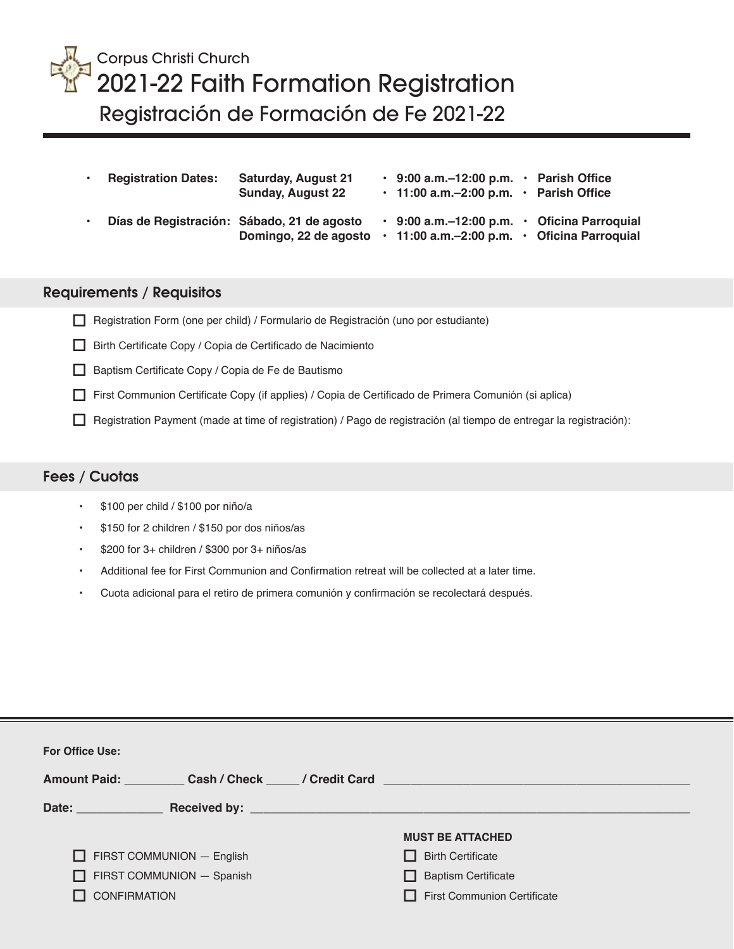

## Corpus Christi Church 2021-22 Faith Formation Registration Registración de Formación de Fe 2021-22

| $\bullet$ | <b>Registration Dates:</b> | <b>Saturday, August 21</b><br><b>Sunday, August 22</b>              | $\cdot$ 9:00 a.m.–12:00 p.m. $\cdot$ Parish Office<br>$\cdot$ 11:00 a.m. -2:00 p.m. $\cdot$ Parish Office |           |                           |
|-----------|----------------------------|---------------------------------------------------------------------|-----------------------------------------------------------------------------------------------------------|-----------|---------------------------|
| $\bullet$ |                            | Días de Registración: Sábado, 21 de agosto<br>Domingo, 22 de agosto | $\cdot$ 9:00 a.m. -12:00 p.m.<br>$\cdot$ 11:00 a.m. -2:00 p.m. $\cdot$ Oficina Parroquial                 | $\bullet$ | <b>Oficina Parroquial</b> |

## **Requirements / Requisitos**

- $\Box$  Registration Form (one per child) / Formulario de Registración (uno por estudiante)
- Birth Certificate Copy / Copia de Certificado de Nacimiento
- $\Box$  Baptism Certificate Copy / Copia de Fe de Bautismo
- First Communion Certificate Copy (if applies) / Copia de Certificado de Primera Comunión (si aplica)
- $\Box$  Registration Payment (made at time of registration) / Pago de registración (al tiempo de entregar la registración):

## **Fees / Cuotas**

- \$100 per child / \$100 por niño/a
- \$150 for 2 children / \$150 por dos niños/as
- \$200 for 3+ children / \$300 por 3+ niños/as
- Additional fee for First Communion and Confirmation retreat will be collected at a later time.
- Cuota adicional para el retiro de primera comunión y confirmación se recolectará después.

| <b>For Office Use:</b>             |                                                                                                      |  |  |  |  |  |  |  |  |
|------------------------------------|------------------------------------------------------------------------------------------------------|--|--|--|--|--|--|--|--|
|                                    | Amount Paid: Cash / Check Credit Card Cash Check Cash Credit Card Cash Check Cash Credit Card Cash C |  |  |  |  |  |  |  |  |
| Date: ______________               |                                                                                                      |  |  |  |  |  |  |  |  |
|                                    | <b>MUST BE ATTACHED</b>                                                                              |  |  |  |  |  |  |  |  |
| $\Box$ FIRST COMMUNION $-$ English | $\Box$ Birth Certificate                                                                             |  |  |  |  |  |  |  |  |
| $\Box$ FIRST COMMUNION $-$ Spanish | $\Box$ Baptism Certificate                                                                           |  |  |  |  |  |  |  |  |
| $\Box$ CONFIRMATION                | First Communion Certificate                                                                          |  |  |  |  |  |  |  |  |